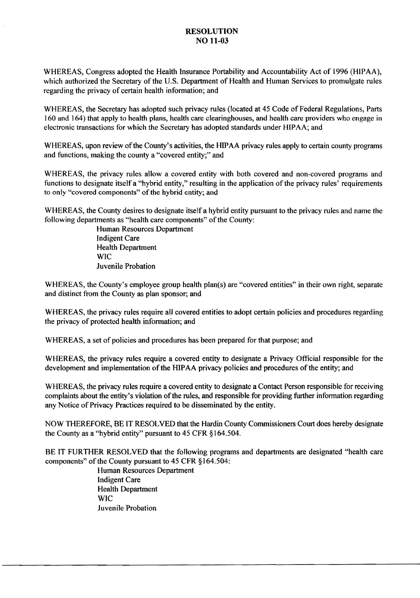#### RESOLUTION NO 11-03

WHEREAS, Congress adopted the Health Insurance Portability and Accountability Act of 1996 (HIPAA), which authorized the Secretary of the U.S. Department of Health and Human Services to promulgate rules regarding the privacy of certain health information; and

WHEREAS, the Secretary has adopted such privacy rules (located at 45 Code of Federal Regulations, Parts 160 and 164) that apply to health plans, health care clearinghouses, and health care providers who engage in electronic transactions for which the Secretary has adopted standards under HIPAA; and

WHEREAS, upon review of the County's activities, the HIPAA privacy rules apply to certain county programs and functions, making the county a "covered entity;" and

WHEREAS, the privacy rules allow a covered entity with both covered and non-covered programs and functions to designate itself a "hybrid entity," resulting in the application of the privacy rules' requirements to only "covered components" of the hybrid entity; and

WHEREAS, the County desires to designate itself a hybrid entity pursuant to the privacy rules and name the following departments as "health care components" of the County:

> Human Resources Department Indigent Care Health Department **WIC** Juvenile Probation

WHEREAS, the County's employee group health plan(s) are "covered entities" in their own right, separate and distinct from the County as plan sponsor; and

WHEREAS, the privacy rules require all covered entities to adopt certain policies and procedures regarding the privacy of protected health information; and

WHEREAS, a set of policies and procedures has been prepared for that purpose; and

WHEREAS, the privacy rules require a covered entity to designate a Privacy Official responsible for the development and implementation of the HIPAA privacy policies and procedures of the entity; and

WHEREAS, the privacy rules require a covered entity to designate a Contact Person responsible for receiving complaints about the entity's violation of the rules, and responsible for providing further information regarding any Notice of Privacy Practices required to be disseminated by the entity.

NOW THEREFORE, BE IT RESOLVED that the Hardin County Commissioners Court does hereby designate the County as a "hybrid entity" pursuant to 45 CFR § 164.504.

BE IT FURTHER RESOLVED that the following programs and departments are designated "health care components" of the County pursuant to 45 CFR §) 64.504:

> Human Resources Department Indigent Care Health Department WIC Juvenile Probation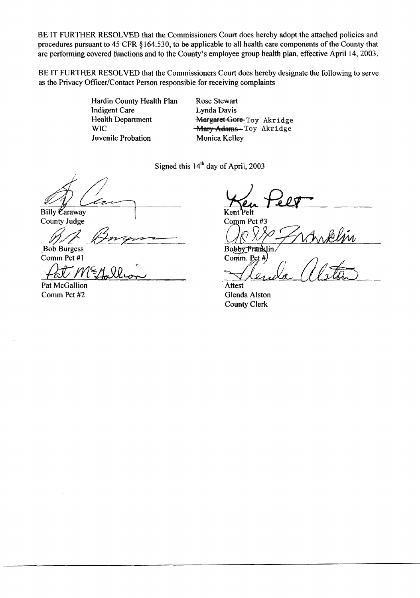BE IT FURTHER RESOLVED that the Commissioners Court does hereby adopt the attached policies and procedures pursuant to 45 CFR §164.530, to be applicable to all health care components of the County that are performing covered functions and to the County's employee group health plan, effective April 14, 2003.

BE IT FURTHER RESOLVED that the Commissioners Court does hereby designate the following to serve as the Privacy Officer/Contact Person responsible for receiving complaints

> Hardin County Health Plan Rose Stewart Indigent Care Lynda Davis<br>
> Health Department Margaret Go Juvenile Probation Monica Kelley

Health Department Margaret Gore Toy Akridge<br>WIC Mary Adams Toy Akridge **Mary Adams**-Toy Akridge

Signed this  $14<sup>th</sup>$  day of April, 2003

Billy Caraway Kent Pelt

County Judge

County studge<br>Bib Burgess

Comm Pct#J

Pat Metollian

Pat McGallion Comm Pct#2

Comm Pct #3

Kent Pelt<br>Comm Pct #3<br>Comm Pct #3<br>Bobby Franklin

, Attest  $\forall$ ler da Alstã

Glenda Alston County Clerk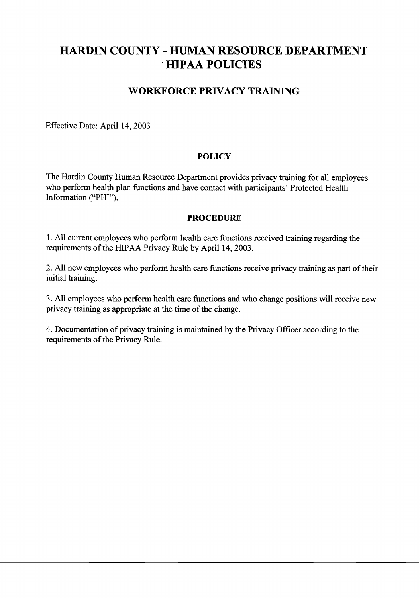# **HARDIN COUNTY - HUMAN RESOURCE DEPARTMENT HIPAA POLICIES**

# **WORKFORCE PRIVACY TRAINING**

Effective Date: April 14, 2003

#### **POLICY**

The Hardin County Human Resource Department provides privacy training for all employees who perform health plan functions and have contact with participants' Protected Health Information ("PHI").

#### **PROCEDURE**

1. All current employees who perform health care functions received training regarding the requirements of the HIPAA Privacy Rule by April 14, 2003.

2. All new employees who perform health care functions receive privacy training as part of their initial training.

3. All employees who perform health care functions and who change positions will receive new privacy training as appropriate at the time of the change.

4. Documentation of privacy training is maintained by the Privacy Officer according to the requirements of the Privacy Rule.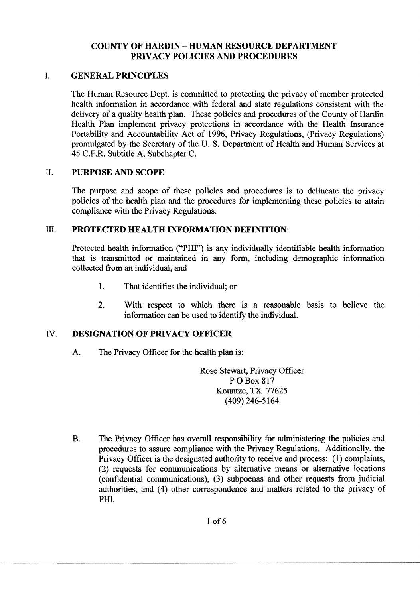## COUNTY OF HARDIN - HUMAN RESOURCE DEPARTMENT PRIVACY POLICIES AND PROCEDURES

## 1. GENERAL PRINCIPLES

The Human Resource Dept. is committed to protecting the privacy of member protected health information in accordance with federal and state regulations consistent with the delivery of a quality health plan. These policies and procedures of the County of Hardin Health Plan implement privacy protections in accordance with the Health Insurance Portability and Accountability Act of 1996, Privacy Regulations, (Privacy Regulations) promulgated by the Secretary of the U. S. Department of Health and Human Services at 45 C.F.R. Subtitle A, Subchapter C.

#### II. PURPOSE AND SCOPE

The purpose and scope of these policies and procedures is to delineate the privacy policies of the health plan and the procedures for implementing these policies to attain compliance with the Privacy Regulations.

#### III. PROTECTED HEALTH INFORMATION DEFINITION:

Protected health information ("PHI") is any individually identifiable health information that is transmitted or maintained in any form, including demographic information collected from an individual, and

- 1. That identifies the individual; or
- 2. With respect to which there is a reasonable basis to believe the information can be used to identify the individual.

#### IV. DESIGNATION OF PRIVACY OFFICER

A. The Privacy Officer for the health plan is:

Rose Stewart, Privacy Officer POBox 817 Kountze, TX 77625 (409) 246-5164

B. The Privacy Officer has overall responsibility for administering the policies and procedures to assure compliance with the Privacy Regulations. Additionally, the Privacy Officer is the designated authority to receive and process: (l) complaints, (2) requests for communications by alternative means or alternative locations (confidential communications), (3) subpoenas and other requests from judicial authorities, and (4) other correspondence and matters related to the privacy of PHI.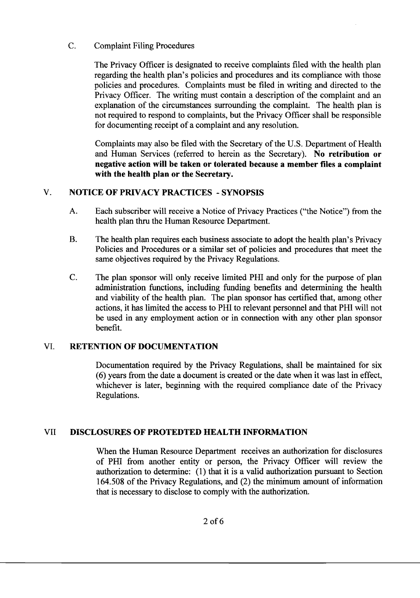#### C. Complaint Filing Procedures

The Privacy Officer is designated to receive complaints filed with the health plan regarding the health plan's policies and procedures and its compliance with those policies and procedures. Complaints must be filed in writing and directed to the Privacy Officer. The writing must contain a description of the complaint and an explanation of the circumstances surrounding the complaint. The health plan is not required to respond to complaints, but the Privacy Officer shall be responsible for documenting receipt of a complaint and any resolution.

Complaints may also be filed with the Secretary of the U.S. Department of Health and Human Services (referred to herein as the Secretary). **No retribution or negative action will be taken or tolerated because a member files a complaint with the health plan or the Secretary.** 

# V. **NOTICE OF PRIVACY PRACTICES - SYNOPSIS**

- A. Each subscriber will receive a Notice of Privacy Practices ("the Notice") from the health plan thru the Human Resource Department.
- B. The health plan requires each business associate to adopt the health plan's Privacy Policies and Procedures or a similar set of policies and procedures that meet the same objectives required by the Privacy Regulations.
- C. The plan sponsor will only receive limited PHI and only for the purpose of plan administration functions, including funding benefits and determining the health and viability of the health plan. The plan sponsor has certified that, among other actions, it has limited the access to PHI to relevant personnel and that PHI will not be used in any employment action or in connection with any other plan sponsor benefit.

# VI. **RETENTION OF DOCUMENTATION**

Documentation required by the Privacy Regulations, shall be maintained for six (6) years from the date a document is created or the date when it was last in effect, whichever is later, beginning with the required compliance date of the Privacy Regulations.

# VII **DISCLOSURES OF PROTEDTED HEALTH INFORMATION**

When the Human Resource Department receives an authorization for disclosures of PHI from another entity or person, the Privacy Officer will review the authorization to detennine: (1) that it is a valid authorization pursuant to Section 164.508 of the Privacy Regulations, and (2) the minimum amount of infonnation that is necessary to disclose to comply with the authorization.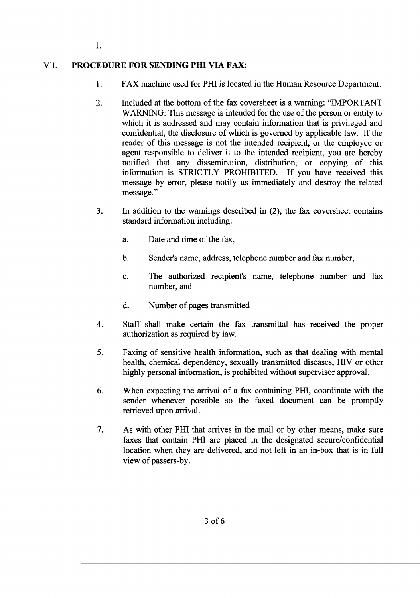# VII. **PROCEDURE FOR SENDING PHI VIA FAX:**

- 1. FAX machine used for PHI is located in the Human Resource Department.
- 2. Included at the bottom of the fax coversheet is a warning: "IMPORTANT WARNING: This message is intended for the use of the person or entity to which it is addressed and may contain information that is privileged and confidential, the disclosure of which is governed by applicable law. If the reader of this message is not the intended recipient, or the employee or agent responsible to deliver it to the intended recipient, you are hereby notified that any dissemination, distribution, or copying of this information is STRICTLY PROHIBITED. If you have received this message by error, please notify us immediately and destroy the related message."
- 3. In addition to the warnings described in (2), the fax coversheet contains standard information including:
	- a. Date and time of the fax,
	- b. Sender's name, address, telephone number and fax number,
	- c. The authorized recipient's name, telephone number and fax number, and
	- d. Number of pages transmitted
- 4. Staff shall make certain the fax transmittal has received the proper authorization as required by law.
- 5. Faxing of sensitive health information, such as that dealing with mental health, chemical dependency, sexually transmitted diseases, HIV or other highly personal information, is prohibited without supervisor approval.
- 6. When expecting the arrival of a fax containing PHI, coordinate with the sender whenever possible so the faxed document can be promptly retrieved upon arrival.
- 7. As with other PHI that arrives in the mail or by other means, make sure faxes that contain PHI are placed in the designated secure/confidential location when they are delivered, and not left in an in-box that is in full view of passers-by.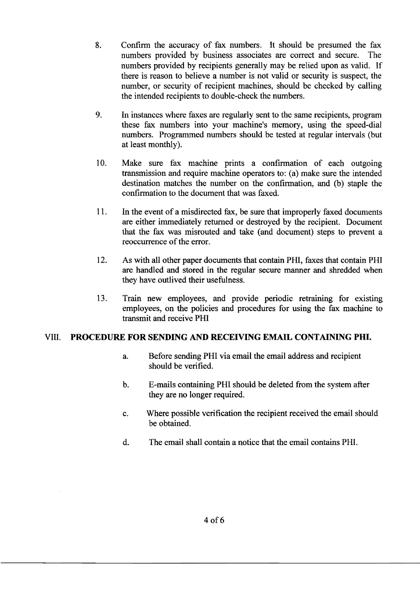- 8. Confirm the accuracy of fax numbers. It should be presumed the fax numbers provided by business associates are correct and secure. The numbers provided by recipients generally may be relied upon as valid. If there is reason to believe a number is not valid or security is suspect, the number, or security of recipient machines, should be checked by calling the intended recipients to double~check the numbers.
- 9. In instances where faxes are regularly sent to the same recipients, program these fax numbers into your machine's memory, using the speed~dial numbers. Programmed numbers should be tested at regular intervals (but at least monthly).
- 10. Make sure fax machine prints a confirmation of each outgoing transmission and require machine operators to: (a) make sure the intended destination matches the number on the confirmation, and (b) staple the confirmation to the document that was faxed.
- 11. In the event of a misdirected fax, be sure that improperly faxed documents are either immediately returned or destroyed by the recipient. Document that the fax was misrouted and take (and document) steps to prevent a reoccurrence of the error.
- 12. As with all other paper documents that contain PHI, faxes that contain PHI are handled and stored in the regular secure manner and shredded when they have outlived their usefulness.
- 13. Train new employees, and provide periodic retraining for existing employees, on the policies and procedures for using the fax machine to transmit and receive PHI

#### VIII. **PROCEDURE FOR SENDING AND RECEIVING EMAIL CONTAINING PHI.**

- a. Before sending PHI via email the email address and recipient should be verified.
- b. E-mails containing PHI should be deleted from the system after they are no longer required.
- c. Where possible verification the recipient received the email should be obtained.
- d. The email shall contain a notice that the email contains PHI.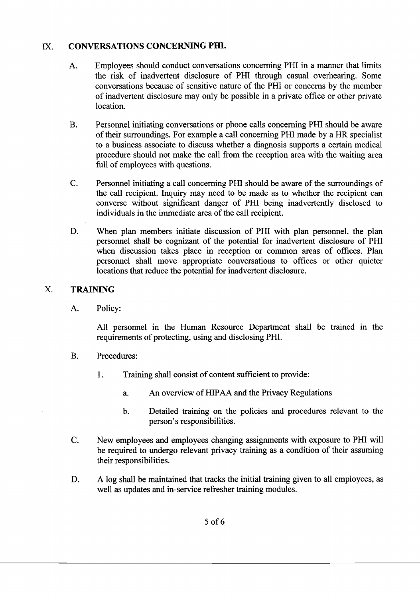## IX. **CONVERSATIONS CONCERNING PHI.**

- A. Employees should conduct conversations concerning PHI in a manner that limits the risk of inadvertent disclosure of PHI through casual overhearing. Some conversations because of sensitive nature of the PHI or concerns by the member of inadvertent disclosure may only be possible in a private office or other private location.
- B. Personnel initiating conversations or phone calls concerning PHI should be aware of their surroundings. For example a call concerning PHI made by a HR specialist to a business associate to discuss whether a diagnosis supports a certain medical procedure should not make the call from the reception area with the waiting area full of employees with questions.
- C. Personnel initiating a call concerning PHI should be aware of the surroundings of the call recipient. Inquiry may need to be made as to whether the recipient can converse without significant danger of PHI being inadvertently disclosed to individuals in the immediate area of the call recipient.
- D. When plan members initiate discussion of PHI with plan personnel, the plan personnel shall be cognizant of the potential for inadvertent disclosure of PHI when discussion takes place in reception or common areas of offices. Plan personnel shall move appropriate conversations to offices or other quieter locations that reduce the potential for inadvertent disclosure.

# X. **TRAINING**

A. Policy:

All personnel in the Human Resource Department shall be trained in the requirements of protecting, using and disclosing PHI.

- B. Procedures:
	- 1. Training shall consist of content sufficient to provide:
		- a. An overview of HIPAA and the Privacy Regulations
		- b. Detailed training on the policies and procedures relevant to the person's responsibilities.
- C. New employees and employees changing assignments with exposure to PHI will be required to undergo relevant privacy training as a condition of their assuming their responsibilities.
- D. A log shall be maintained that tracks the initial training given to all employees, as well as updates and in-service refresher training modules.